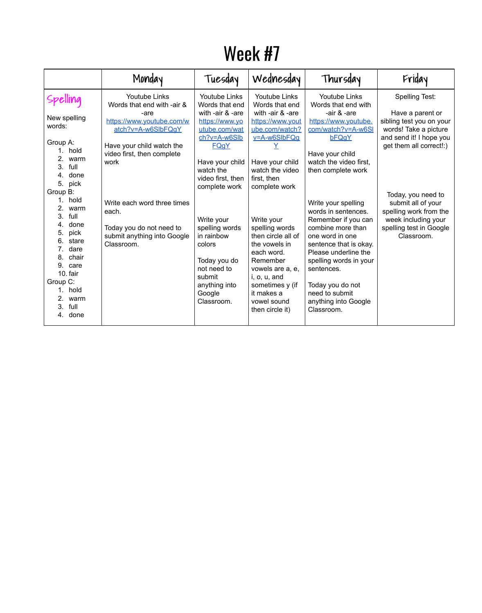## Week #7

|                                                                                                                                                                                                                                                                                                                                      | Monday                                                                                                                                                                                                                                                                                            | Tuesday                                                                                                                                                                                                                                                                                                                                            | Wednesday                                                                                                                                                                                                                                                                                                                                                                                            | Thursday                                                                                                                                                                                                                                                                                                                                                                                                                                                                       | Friday                                                                                                                                                                                                                                                                                     |
|--------------------------------------------------------------------------------------------------------------------------------------------------------------------------------------------------------------------------------------------------------------------------------------------------------------------------------------|---------------------------------------------------------------------------------------------------------------------------------------------------------------------------------------------------------------------------------------------------------------------------------------------------|----------------------------------------------------------------------------------------------------------------------------------------------------------------------------------------------------------------------------------------------------------------------------------------------------------------------------------------------------|------------------------------------------------------------------------------------------------------------------------------------------------------------------------------------------------------------------------------------------------------------------------------------------------------------------------------------------------------------------------------------------------------|--------------------------------------------------------------------------------------------------------------------------------------------------------------------------------------------------------------------------------------------------------------------------------------------------------------------------------------------------------------------------------------------------------------------------------------------------------------------------------|--------------------------------------------------------------------------------------------------------------------------------------------------------------------------------------------------------------------------------------------------------------------------------------------|
| New spelling<br>words:<br>Group A:<br>hold<br>2.<br>warm<br>full<br>3.<br>done<br>4.<br>pick<br>5.<br>Group B:<br>hold<br>$2_{\cdot}$<br>warm<br>full<br>3.<br>done<br>4.<br>pick<br>5.<br>stare<br>6.<br>dare<br>7.<br>chair<br>8.<br>9.<br>care<br>10. fair<br>Group C:<br>1. hold<br>warm<br>$2_{\cdot}$<br>full<br>3.<br>4. done | <b>Youtube Links</b><br>Words that end with -air &<br>-are<br>https://www.youtube.com/w<br>atch?v=A-w6SlbFQqY<br>Have your child watch the<br>video first, then complete<br>work<br>Write each word three times<br>each.<br>Today you do not need to<br>submit anything into Google<br>Classroom. | <b>Youtube Links</b><br>Words that end<br>with -air $&$ -are<br>https://www.yo<br>utube.com/wat<br>$ch?v = A-w6Slb$<br><b>FQgY</b><br>Have your child<br>watch the<br>video first, then<br>complete work<br>Write your<br>spelling words<br>in rainbow<br>colors<br>Today you do<br>not need to<br>submit<br>anything into<br>Google<br>Classroom. | <b>Youtube Links</b><br>Words that end<br>with -air & -are<br>https://www.yout<br>ube.com/watch?<br>$v = A - w6S1bFQq$<br>Have your child<br>watch the video<br>first, then<br>complete work<br>Write your<br>spelling words<br>then circle all of<br>the vowels in<br>each word.<br>Remember<br>vowels are a, e,<br>i, o, u, and<br>sometimes y (if<br>it makes a<br>vowel sound<br>then circle it) | <b>Youtube Links</b><br>Words that end with<br>-air & -are<br>https://www.youtube.<br>com/watch?v=A-w6SI<br><b>bFQqY</b><br>Have your child<br>watch the video first,<br>then complete work<br>Write your spelling<br>words in sentences.<br>Remember if you can<br>combine more than<br>one word in one<br>sentence that is okay.<br>Please underline the<br>spelling words in your<br>sentences.<br>Today you do not<br>need to submit<br>anything into Google<br>Classroom. | <b>Spelling Test:</b><br>Have a parent or<br>sibling test you on your<br>words! Take a picture<br>and send it! I hope you<br>get them all correct!:)<br>Today, you need to<br>submit all of your<br>spelling work from the<br>week including your<br>spelling test in Google<br>Classroom. |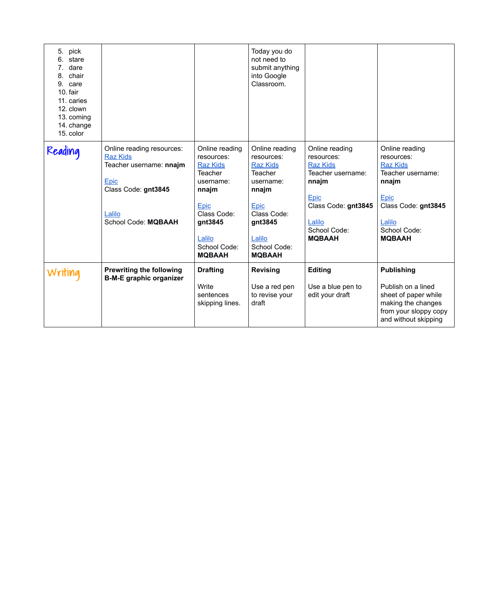| 5. pick<br>stare<br>6.<br>dare<br>7.<br>chair<br>8.<br>9.<br>care<br>10. fair<br>11. caries<br>12. clown<br>13. coming<br>14. change<br>15. color |                                                                                                                                                |                                                                                                                                                                                                  | Today you do<br>not need to<br>submit anything<br>into Google<br>Classroom.                                                                                                               |                                                                                                                                                                |                                                                                                                                                                |
|---------------------------------------------------------------------------------------------------------------------------------------------------|------------------------------------------------------------------------------------------------------------------------------------------------|--------------------------------------------------------------------------------------------------------------------------------------------------------------------------------------------------|-------------------------------------------------------------------------------------------------------------------------------------------------------------------------------------------|----------------------------------------------------------------------------------------------------------------------------------------------------------------|----------------------------------------------------------------------------------------------------------------------------------------------------------------|
| Reading                                                                                                                                           | Online reading resources:<br><b>Raz Kids</b><br>Teacher username: nnajm<br>Epic<br>Class Code: gnt3845<br>Lalilo<br><b>School Code: MQBAAH</b> | Online reading<br>resources:<br><b>Raz Kids</b><br><b>Teacher</b><br>username:<br>nnajm<br><b>Epic</b><br><b>Class Code:</b><br>gnt3845<br><u>Lalilo</u><br><b>School Code:</b><br><b>MQBAAH</b> | Online reading<br>resources:<br><b>Raz Kids</b><br><b>Teacher</b><br>username:<br>nnajm<br><u>Epic</u><br><b>Class Code:</b><br>gnt3845<br>Lalilo<br><b>School Code:</b><br><b>MQBAAH</b> | Online reading<br>resources:<br><b>Raz Kids</b><br>Teacher username:<br>nnajm<br>Epic<br>Class Code: gnt3845<br>Lalilo<br><b>School Code:</b><br><b>MQBAAH</b> | Online reading<br>resources:<br><b>Raz Kids</b><br>Teacher username:<br>nnajm<br>Epic<br>Class Code: gnt3845<br>Lalilo<br><b>School Code:</b><br><b>MQBAAH</b> |
| Writing                                                                                                                                           | <b>Prewriting the following</b><br><b>B-M-E graphic organizer</b>                                                                              | <b>Drafting</b><br>Write<br>sentences<br>skipping lines.                                                                                                                                         | <b>Revising</b><br>Use a red pen<br>to revise your<br>draft                                                                                                                               | <b>Editing</b><br>Use a blue pen to<br>edit your draft                                                                                                         | <b>Publishing</b><br>Publish on a lined<br>sheet of paper while<br>making the changes<br>from your sloppy copy<br>and without skipping                         |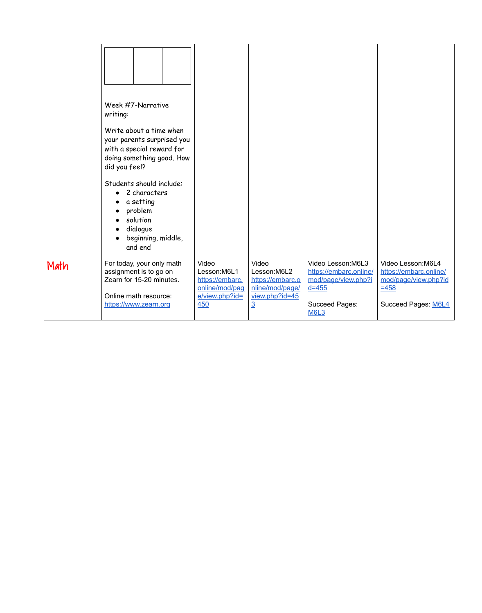|      | Week #7-Narrative<br>writing:<br>Write about a time when<br>your parents surprised you<br>with a special reward for<br>doing something good. How<br>did you feel?<br>Students should include:<br>2 characters<br>$\bullet$<br>a setting<br>$\bullet$<br>problem<br>$\bullet$<br>solution<br>dialogue<br>$\bullet$<br>beginning, middle,<br>and end |                                                                                      |                                                                                                 |                                                                                                                                |                                                                                                               |
|------|----------------------------------------------------------------------------------------------------------------------------------------------------------------------------------------------------------------------------------------------------------------------------------------------------------------------------------------------------|--------------------------------------------------------------------------------------|-------------------------------------------------------------------------------------------------|--------------------------------------------------------------------------------------------------------------------------------|---------------------------------------------------------------------------------------------------------------|
| Math | For today, your only math<br>assignment is to go on<br>Zearn for 15-20 minutes.<br>Online math resource:<br>https://www.zearn.org                                                                                                                                                                                                                  | Video<br>Lesson:M6L1<br>https://embarc.<br>online/mod/pag<br>$e/view.php?id=$<br>450 | Video<br>Lesson:M6L2<br>https://embarc.o<br>nline/mod/page/<br>view.php?id=45<br>$\overline{3}$ | <b>Video Lesson:M6L3</b><br>https://embarc.online/<br>mod/page/view.php?i<br>$d = 455$<br><b>Succeed Pages:</b><br><b>M6L3</b> | Video Lesson: M6L4<br>https://embarc.online/<br>mod/page/view.php?id<br>$= 458$<br><b>Succeed Pages: M6L4</b> |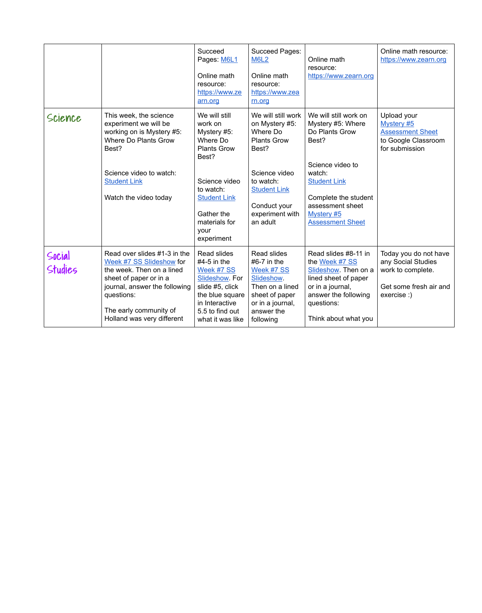|                   |                                                                                                                                                                                                                        | <b>Succeed</b><br>Pages: M6L1<br>Online math<br>resource:<br>https://www.ze<br>arn.org                                                                                                       | <b>Succeed Pages:</b><br><b>M6L2</b><br>Online math<br>resource:<br>https://www.zea<br>rn.org                                                                                       | Online math<br>resource:<br>https://www.zearn.org                                                                                                                                                                      | Online math resource:<br>https://www.zearn.org                                                            |
|-------------------|------------------------------------------------------------------------------------------------------------------------------------------------------------------------------------------------------------------------|----------------------------------------------------------------------------------------------------------------------------------------------------------------------------------------------|-------------------------------------------------------------------------------------------------------------------------------------------------------------------------------------|------------------------------------------------------------------------------------------------------------------------------------------------------------------------------------------------------------------------|-----------------------------------------------------------------------------------------------------------|
| Science           | This week, the science<br>experiment we will be<br>working on is Mystery #5:<br><b>Where Do Plants Grow</b><br>Best?<br>Science video to watch:<br><b>Student Link</b><br>Watch the video today                        | We will still<br>work on<br>Mystery #5:<br>Where Do<br><b>Plants Grow</b><br>Best?<br>Science video<br>to watch:<br><b>Student Link</b><br>Gather the<br>materials for<br>your<br>experiment | We will still work<br>on Mystery #5:<br>Where Do<br><b>Plants Grow</b><br>Best?<br>Science video<br>to watch:<br><b>Student Link</b><br>Conduct your<br>experiment with<br>an adult | We will still work on<br>Mystery #5: Where<br>Do Plants Grow<br>Best?<br>Science video to<br>watch:<br><b>Student Link</b><br>Complete the student<br>assessment sheet<br><b>Mystery #5</b><br><b>Assessment Sheet</b> | Upload your<br><b>Mystery #5</b><br><b>Assessment Sheet</b><br>to Google Classroom<br>for submission      |
| Social<br>Studies | Read over slides #1-3 in the<br>Week #7 SS Slideshow for<br>the week. Then on a lined<br>sheet of paper or in a<br>journal, answer the following<br>questions:<br>The early community of<br>Holland was very different | <b>Read slides</b><br>$#4-5$ in the<br>Week #7 SS<br><u>Slideshow</u> . For<br>slide #5, click<br>the blue square<br>in Interactive<br>5.5 to find out<br>what it was like                   | Read slides<br>$#6-7$ in the<br>Week #7 SS<br><b>Slideshow</b><br>Then on a lined<br>sheet of paper<br>or in a journal,<br>answer the<br>following                                  | Read slides #8-11 in<br>the Week #7 SS<br>Slideshow. Then on a<br>lined sheet of paper<br>or in a journal,<br>answer the following<br>questions:<br>Think about what you                                               | Today you do not have<br>any Social Studies<br>work to complete.<br>Get some fresh air and<br>exercise :) |